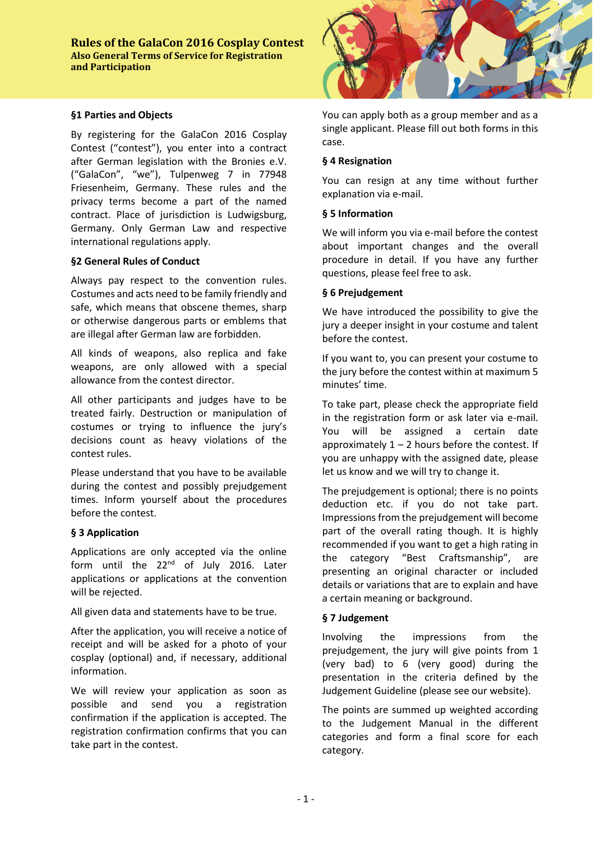#### **§1 Parties and Objects**

By registering for the GalaCon 2016 Cosplay Contest ("contest"), you enter into a contract after German legislation with the Bronies e.V. ("GalaCon", "we"), Tulpenweg 7 in 77948 Friesenheim, Germany. These rules and the privacy terms become a part of the named contract. Place of jurisdiction is Ludwigsburg, Germany. Only German Law and respective international regulations apply.

### **§2 General Rules of Conduct**

Always pay respect to the convention rules. Costumes and acts need to be family friendly and safe, which means that obscene themes, sharp or otherwise dangerous parts or emblems that are illegal after German law are forbidden.

All kinds of weapons, also replica and fake weapons, are only allowed with a special allowance from the contest director.

All other participants and judges have to be treated fairly. Destruction or manipulation of costumes or trying to influence the jury's decisions count as heavy violations of the contest rules.

Please understand that you have to be available during the contest and possibly prejudgement times. Inform yourself about the procedures before the contest.

### **§ 3 Application**

Applications are only accepted via the online form until the 22<sup>nd</sup> of July 2016. Later applications or applications at the convention will be rejected.

All given data and statements have to be true.

After the application, you will receive a notice of receipt and will be asked for a photo of your cosplay (optional) and, if necessary, additional information.

We will review your application as soon as possible and send you a registration confirmation if the application is accepted. The registration confirmation confirms that you can take part in the contest.



You can apply both as a group member and as a single applicant. Please fill out both forms in this case.

#### **§ 4 Resignation**

You can resign at any time without further explanation via e-mail.

### **§ 5 Information**

We will inform you via e-mail before the contest about important changes and the overall procedure in detail. If you have any further questions, please feel free to ask.

#### **§ 6 Prejudgement**

We have introduced the possibility to give the jury a deeper insight in your costume and talent before the contest.

If you want to, you can present your costume to the jury before the contest within at maximum 5 minutes' time.

To take part, please check the appropriate field in the registration form or ask later via e-mail. You will be assigned a certain date approximately  $1 - 2$  hours before the contest. If you are unhappy with the assigned date, please let us know and we will try to change it.

The prejudgement is optional; there is no points deduction etc. if you do not take part. Impressions from the prejudgement will become part of the overall rating though. It is highly recommended if you want to get a high rating in the category "Best Craftsmanship", are presenting an original character or included details or variations that are to explain and have a certain meaning or background.

### **§ 7 Judgement**

Involving the impressions from the prejudgement, the jury will give points from 1 (very bad) to 6 (very good) during the presentation in the criteria defined by the Judgement Guideline (please see our website).

The points are summed up weighted according to the Judgement Manual in the different categories and form a final score for each category.